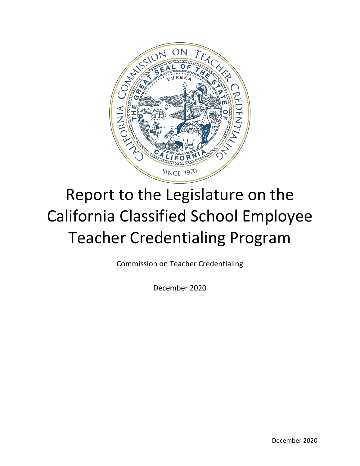

# Report to the Legislature on the California Classified School Employee Teacher Credentialing Program

Commission on Teacher Credentialing

December 2020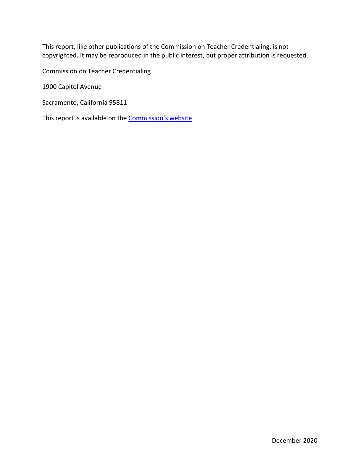This report, like other publications of the Commission on Teacher Credentialing, is not copyrighted. It may be reproduced in the public interest, but proper attribution is requested.

Commission on Teacher Credentialing

1900 Capitol Avenue

Sacramento, California 95811

This report is available on the **Commission's website**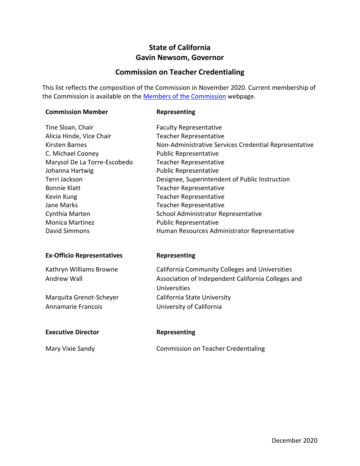### **State of California Gavin Newsom, Governor**

### **Commission on Teacher Credentialing**

This list reflects the composition of the Commission in November 2020. Current membership of the Commission is available on the **Members of the Commission** webpage.

#### **Commission Member 6 Representing**

| <b>Faculty Representative</b>                         |
|-------------------------------------------------------|
| <b>Teacher Representative</b>                         |
| Non-Administrative Services Credential Representative |
| <b>Public Representative</b>                          |
| <b>Teacher Representative</b>                         |
| <b>Public Representative</b>                          |
| Designee, Superintendent of Public Instruction        |
| <b>Teacher Representative</b>                         |
| <b>Teacher Representative</b>                         |
| <b>Teacher Representative</b>                         |
| School Administrator Representative                   |
| <b>Public Representative</b>                          |
| Human Resources Administrator Representative          |
|                                                       |

#### **Ex-Officio Representatives Representing**

| Kathryn Williams Browne | California Community Colleges and Universities     |
|-------------------------|----------------------------------------------------|
| Andrew Wall             | Association of Independent California Colleges and |
|                         | Universities                                       |
| Marquita Grenot-Scheyer | California State University                        |
| Annamarie Francois      | University of California                           |

#### **Executive Director Representing**

Mary Vixie Sandy Commission on Teacher Credentialing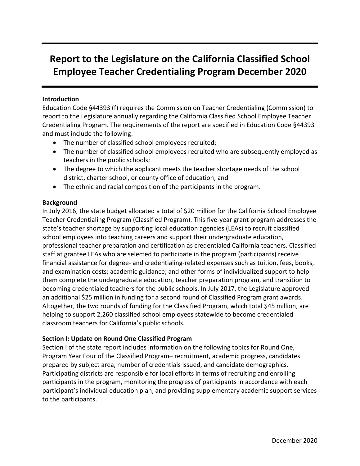## **Report to the Legislature on the California Classified School Employee Teacher Credentialing Program December 2020**

#### **Introduction**

Education Code §44393 (f) requires the Commission on Teacher Credentialing (Commission) to report to the Legislature annually regarding the California Classified School Employee Teacher Credentialing Program. The requirements of the report are specified in Education Code §44393 and must include the following:

- The number of classified school employees recruited;
- The number of classified school employees recruited who are subsequently employed as teachers in the public schools;
- The degree to which the applicant meets the teacher shortage needs of the school district, charter school, or county office of education; and
- The ethnic and racial composition of the participants in the program.

#### **Background**

In July 2016, the state budget allocated a total of \$20 million for the California School Employee Teacher Credentialing Program (Classified Program). This five-year grant program addresses the state's teacher shortage by supporting local education agencies (LEAs) to recruit classified school employees into teaching careers and support their undergraduate education, professional teacher preparation and certification as credentialed California teachers. Classified staff at grantee LEAs who are selected to participate in the program (participants) receive financial assistance for degree- and credentialing-related expenses such as tuition, fees, books, and examination costs; academic guidance; and other forms of individualized support to help them complete the undergraduate education, teacher preparation program, and transition to becoming credentialed teachers for the public schools. In July 2017, the Legislature approved an additional \$25 million in funding for a second round of Classified Program grant awards. Altogether, the two rounds of funding for the Classified Program, which total \$45 million, are helping to support 2,260 classified school employees statewide to become credentialed classroom teachers for California's public schools.

#### **Section I: Update on Round One Classified Program**

Section I of the state report includes information on the following topics for Round One, Program Year Four of the Classified Program– recruitment, academic progress, candidates prepared by subject area, number of credentials issued, and candidate demographics. Participating districts are responsible for local efforts in terms of recruiting and enrolling participants in the program, monitoring the progress of participants in accordance with each participant's individual education plan, and providing supplementary academic support services to the participants.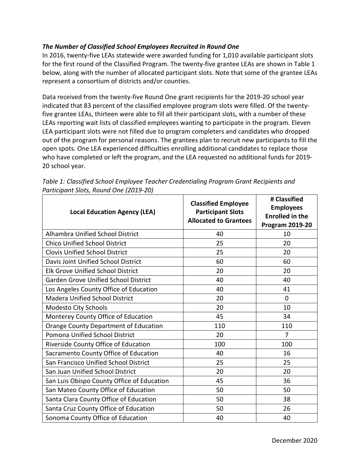#### *The Number of Classified School Employees Recruited in Round One*

In 2016, twenty-five LEAs statewide were awarded funding for 1,010 available participant slots for the first round of the Classified Program. The twenty-five grantee LEAs are shown in Table 1 below, along with the number of allocated participant slots. Note that some of the grantee LEAs represent a consortium of districts and/or counties.

Data received from the twenty-five Round One grant recipients for the 2019-20 school year indicated that 83 percent of the classified employee program slots were filled. Of the twentyfive grantee LEAs, thirteen were able to fill all their participant slots, with a number of these LEAs reporting wait lists of classified employees wanting to participate in the program. Eleven LEA participant slots were not filled due to program completers and candidates who dropped out of the program for personal reasons. The grantees plan to recruit new participants to fill the open spots. One LEA experienced difficulties enrolling additional candidates to replace those who have completed or left the program, and the LEA requested no additional funds for 2019- 20 school year.

| <b>Local Education Agency (LEA)</b>          | <b>Classified Employee</b><br><b>Participant Slots</b><br><b>Allocated to Grantees</b> | # Classified<br><b>Employees</b><br><b>Enrolled in the</b><br><b>Program 2019-20</b> |
|----------------------------------------------|----------------------------------------------------------------------------------------|--------------------------------------------------------------------------------------|
| <b>Alhambra Unified School District</b>      | 40                                                                                     | 10                                                                                   |
| <b>Chico Unified School District</b>         | 25                                                                                     | 20                                                                                   |
| <b>Clovis Unified School District</b>        | 25                                                                                     | 20                                                                                   |
| Davis Joint Unified School District          | 60                                                                                     | 60                                                                                   |
| <b>Elk Grove Unified School District</b>     | 20                                                                                     | 20                                                                                   |
| <b>Garden Grove Unified School District</b>  | 40                                                                                     | 40                                                                                   |
| Los Angeles County Office of Education       | 40                                                                                     | 41                                                                                   |
| <b>Madera Unified School District</b>        | 20                                                                                     | $\mathbf 0$                                                                          |
| <b>Modesto City Schools</b>                  | 20                                                                                     | 10                                                                                   |
| Monterey County Office of Education          | 45                                                                                     | 34                                                                                   |
| <b>Orange County Department of Education</b> | 110                                                                                    | 110                                                                                  |
| Pomona Unified School District               | 20                                                                                     | $\overline{7}$                                                                       |
| Riverside County Office of Education         | 100                                                                                    | 100                                                                                  |
| Sacramento County Office of Education        | 40                                                                                     | 16                                                                                   |
| San Francisco Unified School District        | 25                                                                                     | 25                                                                                   |
| San Juan Unified School District             | 20                                                                                     | 20                                                                                   |
| San Luis Obispo County Office of Education   | 45                                                                                     | 36                                                                                   |
| San Mateo County Office of Education         | 50                                                                                     | 50                                                                                   |
| Santa Clara County Office of Education       | 50                                                                                     | 38                                                                                   |
| Santa Cruz County Office of Education        | 50                                                                                     | 26                                                                                   |
| Sonoma County Office of Education            | 40                                                                                     | 40                                                                                   |

*Table 1: Classified School Employee Teacher Credentialing Program Grant Recipients and Participant Slots, Round One (2019-20)*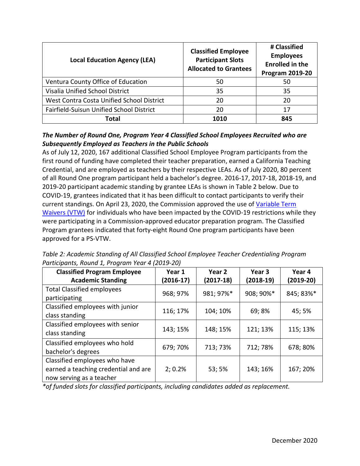| <b>Local Education Agency (LEA)</b>       | <b>Classified Employee</b><br><b>Participant Slots</b><br><b>Allocated to Grantees</b> | # Classified<br><b>Employees</b><br><b>Enrolled in the</b><br><b>Program 2019-20</b> |
|-------------------------------------------|----------------------------------------------------------------------------------------|--------------------------------------------------------------------------------------|
| Ventura County Office of Education        | 50                                                                                     | 50                                                                                   |
| Visalia Unified School District           | 35                                                                                     | 35                                                                                   |
| West Contra Costa Unified School District | 20                                                                                     | 20                                                                                   |
| Fairfield-Suisun Unified School District  | 20                                                                                     | 17                                                                                   |
| Total                                     | 1010                                                                                   | 845                                                                                  |

#### *The Number of Round One, Program Year 4 Classified School Employees Recruited who are Subsequently Employed as Teachers in the Public Schools*

As of July 12, 2020, 167 additional Classified School Employee Program participants from the first round of funding have completed their teacher preparation, earned a California Teaching Credential, and are employed as teachers by their respective LEAs. As of July 2020, 80 percent of all Round One program participant held a bachelor's degree. 2016-17, 2017-18, 2018-19, and 2019-20 participant academic standing by grantee LEAs is shown in Table 2 below. Due to COVID-19, grantees indicated that it has been difficult to contact participants to verify their current standings. On April 23, 2020, the Commission approved the use of [Variable Term](https://www.ctc.ca.gov/docs/default-source/commission/agendas/2020-04/2020-04-3a.pdf?sfvrsn=d02e2cb1_2)  [Waivers \(VTW\)](https://www.ctc.ca.gov/docs/default-source/commission/agendas/2020-04/2020-04-3a.pdf?sfvrsn=d02e2cb1_2) for individuals who have been impacted by the COVID-19 restrictions while they were participating in a Commission-approved educator preparation program. The Classified Program grantees indicated that forty-eight Round One program participants have been approved for a PS-VTW.

*Table 2: Academic Standing of All Classified School Employee Teacher Credentialing Program Participants, Round 1, Program Year 4 (2019-20)*

| <b>Classified Program Employee</b><br><b>Academic Standing</b>                                    | Year 1<br>$(2016-17)$ | Year 2<br>$(2017-18)$ | Year 3<br>$(2018-19)$ | Year 4<br>$(2019-20)$ |
|---------------------------------------------------------------------------------------------------|-----------------------|-----------------------|-----------------------|-----------------------|
| <b>Total Classified employees</b><br>participating                                                | 968; 97%              | 981; 97%*             | 908; 90%*             | 845; 83%*             |
| Classified employees with junior<br>class standing                                                | 116; 17%              | 104; 10%              | 69; 8%                | 45; 5%                |
| Classified employees with senior<br>class standing                                                | 143; 15%              | 148; 15%              | 121; 13%              | 115; 13%              |
| Classified employees who hold<br>bachelor's degrees                                               | 679; 70%              | 713; 73%              | 712; 78%              | 678; 80%              |
| Classified employees who have<br>earned a teaching credential and are<br>now serving as a teacher | 2; 0.2%               | 53; 5%                | 143; 16%              | 167; 20%              |

*\*of funded slots for classified participants, including candidates added as replacement.*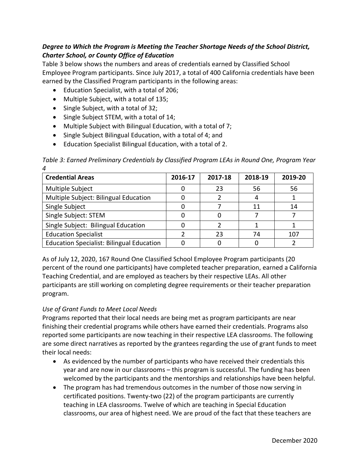#### *Degree to Which the Program is Meeting the Teacher Shortage Needs of the School District, Charter School, or County Office of Education*

Table 3 below shows the numbers and areas of credentials earned by Classified School Employee Program participants. Since July 2017, a total of 400 California credentials have been earned by the Classified Program participants in the following areas:

- Education Specialist, with a total of 206;
- Multiple Subject, with a total of 135;
- Single Subject, with a total of 32;
- Single Subject STEM, with a total of 14;
- Multiple Subject with Bilingual Education, with a total of 7;
- Single Subject Bilingual Education, with a total of 4; and
- Education Specialist Bilingual Education, with a total of 2.

*Table 3: Earned Preliminary Credentials by Classified Program LEAs in Round One, Program Year 4*

| <b>Credential Areas</b>                          | 2016-17 | 2017-18 | 2018-19 | 2019-20 |
|--------------------------------------------------|---------|---------|---------|---------|
| Multiple Subject                                 |         | 23      | 56      | 56      |
| Multiple Subject: Bilingual Education            |         |         |         |         |
| Single Subject                                   |         |         |         | 14      |
| Single Subject: STEM                             |         |         |         |         |
| Single Subject: Bilingual Education              |         |         |         |         |
| <b>Education Specialist</b>                      |         | 23      | 74      | 107     |
| <b>Education Specialist: Bilingual Education</b> |         |         |         |         |

As of July 12, 2020, 167 Round One Classified School Employee Program participants (20 percent of the round one participants) have completed teacher preparation, earned a California Teaching Credential, and are employed as teachers by their respective LEAs. All other participants are still working on completing degree requirements or their teacher preparation program.

#### *Use of Grant Funds to Meet Local Needs*

Programs reported that their local needs are being met as program participants are near finishing their credential programs while others have earned their credentials. Programs also reported some participants are now teaching in their respective LEA classrooms. The following are some direct narratives as reported by the grantees regarding the use of grant funds to meet their local needs:

- As evidenced by the number of participants who have received their credentials this year and are now in our classrooms – this program is successful. The funding has been welcomed by the participants and the mentorships and relationships have been helpful.
- The program has had tremendous outcomes in the number of those now serving in certificated positions. Twenty-two (22) of the program participants are currently teaching in LEA classrooms. Twelve of which are teaching in Special Education classrooms, our area of highest need. We are proud of the fact that these teachers are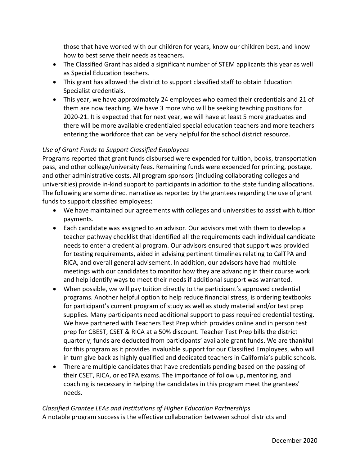those that have worked with our children for years, know our children best, and know how to best serve their needs as teachers.

- The Classified Grant has aided a significant number of STEM applicants this year as well as Special Education teachers.
- This grant has allowed the district to support classified staff to obtain Education Specialist credentials.
- This year, we have approximately 24 employees who earned their credentials and 21 of them are now teaching. We have 3 more who will be seeking teaching positions for 2020-21. It is expected that for next year, we will have at least 5 more graduates and there will be more available credentialed special education teachers and more teachers entering the workforce that can be very helpful for the school district resource.

#### *Use of Grant Funds to Support Classified Employees*

Programs reported that grant funds disbursed were expended for tuition, books, transportation pass, and other college/university fees. Remaining funds were expended for printing, postage, and other administrative costs. All program sponsors (including collaborating colleges and universities) provide in-kind support to participants in addition to the state funding allocations. The following are some direct narrative as reported by the grantees regarding the use of grant funds to support classified employees:

- We have maintained our agreements with colleges and universities to assist with tuition payments.
- Each candidate was assigned to an advisor. Our advisors met with them to develop a teacher pathway checklist that identified all the requirements each individual candidate needs to enter a credential program. Our advisors ensured that support was provided for testing requirements, aided in advising pertinent timelines relating to CalTPA and RICA, and overall general advisement. In addition, our advisors have had multiple meetings with our candidates to monitor how they are advancing in their course work and help identify ways to meet their needs if additional support was warranted.
- When possible, we will pay tuition directly to the participant's approved credential programs. Another helpful option to help reduce financial stress, is ordering textbooks for participant's current program of study as well as study material and/or test prep supplies. Many participants need additional support to pass required credential testing. We have partnered with Teachers Test Prep which provides online and in person test prep for CBEST, CSET & RICA at a 50% discount. Teacher Test Prep bills the district quarterly; funds are deducted from participants' available grant funds. We are thankful for this program as it provides invaluable support for our Classified Employees, who will in turn give back as highly qualified and dedicated teachers in California's public schools.
- There are multiple candidates that have credentials pending based on the passing of their CSET, RICA, or edTPA exams. The importance of follow up, mentoring, and coaching is necessary in helping the candidates in this program meet the grantees' needs.

### *Classified Grantee LEAs and Institutions of Higher Education Partnerships* A notable program success is the effective collaboration between school districts and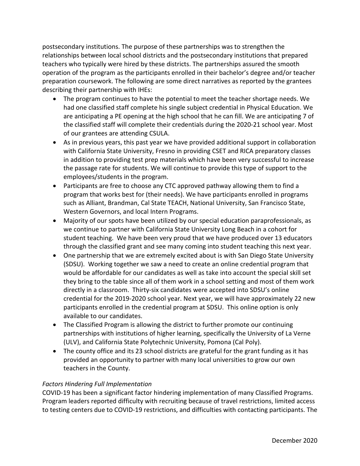postsecondary institutions. The purpose of these partnerships was to strengthen the relationships between local school districts and the postsecondary institutions that prepared teachers who typically were hired by these districts. The partnerships assured the smooth operation of the program as the participants enrolled in their bachelor's degree and/or teacher preparation coursework. The following are some direct narratives as reported by the grantees describing their partnership with IHEs:

- The program continues to have the potential to meet the teacher shortage needs. We had one classified staff complete his single subject credential in Physical Education. We are anticipating a PE opening at the high school that he can fill. We are anticipating 7 of the classified staff will complete their credentials during the 2020-21 school year. Most of our grantees are attending CSULA.
- As in previous years, this past year we have provided additional support in collaboration with California State University, Fresno in providing CSET and RICA preparatory classes in addition to providing test prep materials which have been very successful to increase the passage rate for students. We will continue to provide this type of support to the employees/students in the program.
- Participants are free to choose any CTC approved pathway allowing them to find a program that works best for (their needs). We have participants enrolled in programs such as Alliant, Brandman, Cal State TEACH, National University, San Francisco State, Western Governors, and local Intern Programs.
- Majority of our spots have been utilized by our special education paraprofessionals, as we continue to partner with California State University Long Beach in a cohort for student teaching. We have been very proud that we have produced over 13 educators through the classified grant and see many coming into student teaching this next year.
- One partnership that we are extremely excited about is with San Diego State University (SDSU). Working together we saw a need to create an online credential program that would be affordable for our candidates as well as take into account the special skill set they bring to the table since all of them work in a school setting and most of them work directly in a classroom. Thirty-six candidates were accepted into SDSU's online credential for the 2019-2020 school year. Next year, we will have approximately 22 new participants enrolled in the credential program at SDSU. This online option is only available to our candidates.
- The Classified Program is allowing the district to further promote our continuing partnerships with institutions of higher learning, specifically the University of La Verne (ULV), and California State Polytechnic University, Pomona (Cal Poly).
- The county office and its 23 school districts are grateful for the grant funding as it has provided an opportunity to partner with many local universities to grow our own teachers in the County.

#### *Factors Hindering Full Implementation*

COVID-19 has been a significant factor hindering implementation of many Classified Programs. Program leaders reported difficulty with recruiting because of travel restrictions, limited access to testing centers due to COVID-19 restrictions, and difficulties with contacting participants. The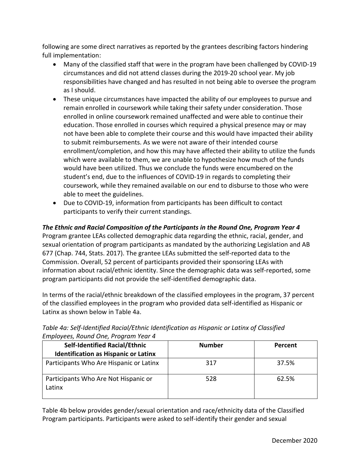following are some direct narratives as reported by the grantees describing factors hindering full implementation:

- Many of the classified staff that were in the program have been challenged by COVID-19 circumstances and did not attend classes during the 2019-20 school year. My job responsibilities have changed and has resulted in not being able to oversee the program as I should.
- These unique circumstances have impacted the ability of our employees to pursue and remain enrolled in coursework while taking their safety under consideration. Those enrolled in online coursework remained unaffected and were able to continue their education. Those enrolled in courses which required a physical presence may or may not have been able to complete their course and this would have impacted their ability to submit reimbursements. As we were not aware of their intended course enrollment/completion, and how this may have affected their ability to utilize the funds which were available to them, we are unable to hypothesize how much of the funds would have been utilized. Thus we conclude the funds were encumbered on the student's end, due to the influences of COVID-19 in regards to completing their coursework, while they remained available on our end to disburse to those who were able to meet the guidelines.
- Due to COVID-19, information from participants has been difficult to contact participants to verify their current standings.

#### *The Ethnic and Racial Composition of the Participants in the Round One, Program Year 4*

Program grantee LEAs collected demographic data regarding the ethnic, racial, gender, and sexual orientation of program participants as mandated by the authorizing Legislation and AB 677 (Chap. 744, Stats. 2017). The grantee LEAs submitted the self-reported data to the Commission. Overall, 52 percent of participants provided their sponsoring LEAs with information about racial/ethnic identity. Since the demographic data was self-reported, some program participants did not provide the self-identified demographic data.

In terms of the racial/ethnic breakdown of the classified employees in the program, 37 percent of the classified employees in the program who provided data self-identified as Hispanic or Latinx as shown below in Table 4a.

| <b>Self-Identified Racial/Ethnic</b>           | <b>Number</b> | Percent |
|------------------------------------------------|---------------|---------|
| <b>Identification as Hispanic or Latinx</b>    |               |         |
| Participants Who Are Hispanic or Latinx        | 317           | 37.5%   |
| Participants Who Are Not Hispanic or<br>Latinx | 528           | 62.5%   |

#### *Table 4a: Self-Identified Racial/Ethnic Identification as Hispanic or Latinx of Classified Employees, Round One, Program Year 4*

Table 4b below provides gender/sexual orientation and race/ethnicity data of the Classified Program participants. Participants were asked to self-identify their gender and sexual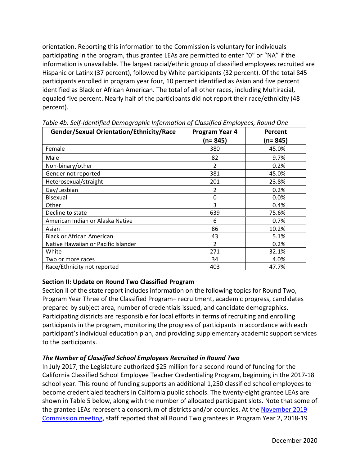orientation. Reporting this information to the Commission is voluntary for individuals participating in the program, thus grantee LEAs are permitted to enter "0" or "NA" if the information is unavailable. The largest racial/ethnic group of classified employees recruited are Hispanic or Latinx (37 percent), followed by White participants (32 percent). Of the total 845 participants enrolled in program year four, 10 percent identified as Asian and five percent identified as Black or African American. The total of all other races, including Multiracial, equaled five percent. Nearly half of the participants did not report their race/ethnicity (48 percent).

| Gender/Sexual Orientation/Ethnicity/Race | Program Year 4 |          |  |
|------------------------------------------|----------------|----------|--|
|                                          | (n= 845)       | (n= 845) |  |
| Female                                   | 380            | 45.0%    |  |
| Male                                     | 82             | 9.7%     |  |
| Non-binary/other                         | 2              | 0.2%     |  |
| Gender not reported                      | 381            | 45.0%    |  |
| Heterosexual/straight                    | 201            | 23.8%    |  |
| Gay/Lesbian                              | 2              | 0.2%     |  |
| <b>Bisexual</b>                          | $\Omega$       | $0.0\%$  |  |
| Other                                    | 3              | 0.4%     |  |
| Decline to state                         | 639            | 75.6%    |  |
| American Indian or Alaska Native         | 6              | 0.7%     |  |
| Asian                                    | 86             | 10.2%    |  |
| <b>Black or African American</b>         | 43             | 5.1%     |  |
| Native Hawaiian or Pacific Islander      | C.             | 0.2%     |  |
| White                                    | 271            | 32.1%    |  |
| Two or more races                        | 34             | 4.0%     |  |
| Race/Ethnicity not reported              | 403            | 47.7%    |  |

*Table 4b: Self-Identified Demographic Information of Classified Employees, Round One*

#### **Section II: Update on Round Two Classified Program**

Section II of the state report includes information on the following topics for Round Two, Program Year Three of the Classified Program– recruitment, academic progress, candidates prepared by subject area, number of credentials issued, and candidate demographics. Participating districts are responsible for local efforts in terms of recruiting and enrolling participants in the program, monitoring the progress of participants in accordance with each participant's individual education plan, and providing supplementary academic support services to the participants.

#### *The Number of Classified School Employees Recruited in Round Two*

In July 2017, the Legislature authorized \$25 million for a second round of funding for the California Classified School Employee Teacher Credentialing Program, beginning in the 2017-18 school year. This round of funding supports an additional 1,250 classified school employees to become credentialed teachers in California public schools. The twenty-eight grantee LEAs are shown in Table 5 below, along with the number of allocated participant slots. Note that some of the grantee LEAs represent a consortium of districts and/or counties. At the [November 2019](https://www.ctc.ca.gov/docs/default-source/commission/agendas/2019-11/2019-11-3g.pdf?sfvrsn=7d992db1_2) [Commission meeting,](https://www.ctc.ca.gov/docs/default-source/commission/agendas/2019-11/2019-11-3g.pdf?sfvrsn=7d992db1_2) staff reported that all Round Two grantees in Program Year 2, 2018-19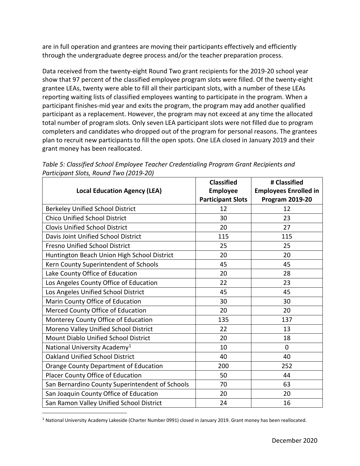are in full operation and grantees are moving their participants effectively and efficiently through the undergraduate degree process and/or the teacher preparation process.

Data received from the twenty-eight Round Two grant recipients for the 2019-20 school year show that 97 percent of the classified employee program slots were filled. Of the twenty-eight grantee LEAs, twenty were able to fill all their participant slots, with a number of these LEAs reporting waiting lists of classified employees wanting to participate in the program. When a participant finishes-mid year and exits the program, the program may add another qualified participant as a replacement. However, the program may not exceed at any time the allocated total number of program slots. Only seven LEA participant slots were not filled due to program completers and candidates who dropped out of the program for personal reasons. The grantees plan to recruit new participants to fill the open spots. One LEA closed in January 2019 and their grant money has been reallocated.

|                                                 | <b>Classified</b>        | # Classified                 |
|-------------------------------------------------|--------------------------|------------------------------|
| <b>Local Education Agency (LEA)</b>             | <b>Employee</b>          | <b>Employees Enrolled in</b> |
|                                                 | <b>Participant Slots</b> | <b>Program 2019-20</b>       |
| <b>Berkeley Unified School District</b>         | 12                       | 12                           |
| <b>Chico Unified School District</b>            | 30                       | 23                           |
| <b>Clovis Unified School District</b>           | 20                       | 27                           |
| Davis Joint Unified School District             | 115                      | 115                          |
| <b>Fresno Unified School District</b>           | 25                       | 25                           |
| Huntington Beach Union High School District     | 20                       | 20                           |
| Kern County Superintendent of Schools           | 45                       | 45                           |
| Lake County Office of Education                 | 20                       | 28                           |
| Los Angeles County Office of Education          | 22                       | 23                           |
| Los Angeles Unified School District             | 45                       | 45                           |
| Marin County Office of Education                | 30                       | 30                           |
| Merced County Office of Education               | 20                       | 20                           |
| Monterey County Office of Education             | 135                      | 137                          |
| Moreno Valley Unified School District           | 22                       | 13                           |
| Mount Diablo Unified School District            | 20                       | 18                           |
| National University Academy <sup>1</sup>        | 10                       | $\mathbf 0$                  |
| <b>Oakland Unified School District</b>          | 40                       | 40                           |
| <b>Orange County Department of Education</b>    | 200                      | 252                          |
| Placer County Office of Education               | 50                       | 44                           |
| San Bernardino County Superintendent of Schools | 70                       | 63                           |
| San Joaquin County Office of Education          | 20                       | 20                           |
| San Ramon Valley Unified School District        | 24                       | 16                           |

*Table 5: Classified School Employee Teacher Credentialing Program Grant Recipients and Participant Slots, Round Two (2019-20)*

<span id="page-11-0"></span><sup>1</sup> National University Academy Lakeside (Charter Number 0991) closed in January 2019. Grant money has been reallocated.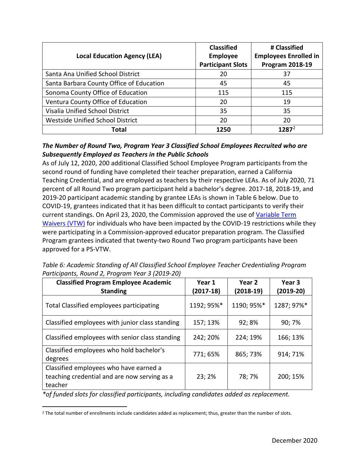| <b>Local Education Agency (LEA)</b>      | <b>Classified</b><br><b>Employee</b> | # Classified<br><b>Employees Enrolled in</b> |
|------------------------------------------|--------------------------------------|----------------------------------------------|
|                                          | <b>Participant Slots</b>             | <b>Program 2018-19</b>                       |
| Santa Ana Unified School District        | 20                                   | 37                                           |
| Santa Barbara County Office of Education | 45                                   | 45                                           |
| Sonoma County Office of Education        | 115                                  | 115                                          |
| Ventura County Office of Education       | 20                                   | 19                                           |
| Visalia Unified School District          | 35                                   | 35                                           |
| <b>Westside Unified School District</b>  | 20                                   | 20                                           |
| Total                                    | 1250                                 | 1287 <sup>2</sup>                            |

#### *The Number of Round Two, Program Year 3 Classified School Employees Recruited who are Subsequently Employed as Teachers in the Public Schools*

As of July 12, 2020, 200 additional Classified School Employee Program participants from the second round of funding have completed their teacher preparation, earned a California Teaching Credential, and are employed as teachers by their respective LEAs. As of July 2020, 71 percent of all Round Two program participant held a bachelor's degree. 2017-18, 2018-19, and 2019-20 participant academic standing by grantee LEAs is shown in Table 6 below. Due to COVID-19, grantees indicated that it has been difficult to contact participants to verify their current standings. On April 23, 2020, the Commission approved the use of [Variable Term](https://www.ctc.ca.gov/docs/default-source/commission/agendas/2020-04/2020-04-3a.pdf?sfvrsn=d02e2cb1_2)  [Waivers \(VTW\)](https://www.ctc.ca.gov/docs/default-source/commission/agendas/2020-04/2020-04-3a.pdf?sfvrsn=d02e2cb1_2) for individuals who have been impacted by the COVID-19 restrictions while they were participating in a Commission-approved educator preparation program. The Classified Program grantees indicated that twenty-two Round Two program participants have been approved for a PS-VTW.

*Table 6: Academic Standing of All Classified School Employee Teacher Credentialing Program Participants, Round 2, Program Year 3 (2019-20)*

| <b>Classified Program Employee Academic</b><br><b>Standing</b>                                    | Year 1<br>(2017-18) | Year 2<br>$(2018-19)$ | Year 3<br>$(2019-20)$ |
|---------------------------------------------------------------------------------------------------|---------------------|-----------------------|-----------------------|
| Total Classified employees participating                                                          | 1192; 95%*          | 1190; 95%*            | 1287; 97%*            |
| Classified employees with junior class standing                                                   | 157; 13%            | 92; 8%                | 90; 7%                |
| Classified employees with senior class standing                                                   | 242; 20%            | 224; 19%              | 166; 13%              |
| Classified employees who hold bachelor's<br>degrees                                               | 771; 65%            | 865; 73%              | 914; 71%              |
| Classified employees who have earned a<br>teaching credential and are now serving as a<br>teacher | 23; 2%              | 78; 7%                | 200; 15%              |

*\*of funded slots for classified participants, including candidates added as replacement.*

<span id="page-12-0"></span><sup>&</sup>lt;sup>2</sup> The total number of enrollments include candidates added as replacement; thus, greater than the number of slots.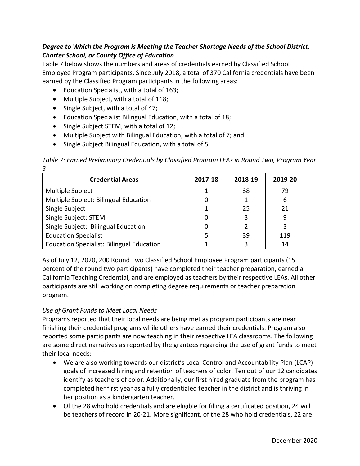#### *Degree to Which the Program is Meeting the Teacher Shortage Needs of the School District, Charter School, or County Office of Education*

Table 7 below shows the numbers and areas of credentials earned by Classified School Employee Program participants. Since July 2018, a total of 370 California credentials have been earned by the Classified Program participants in the following areas:

- Education Specialist, with a total of 163;
- Multiple Subject, with a total of 118;
- Single Subject, with a total of 47;
- Education Specialist Bilingual Education, with a total of 18;
- Single Subject STEM, with a total of 12;
- Multiple Subject with Bilingual Education, with a total of 7; and
- Single Subject Bilingual Education, with a total of 5.

*Table 7: Earned Preliminary Credentials by Classified Program LEAs in Round Two, Program Year 3*

| <b>Credential Areas</b>                          | 2017-18 | 2018-19 | 2019-20 |
|--------------------------------------------------|---------|---------|---------|
| Multiple Subject                                 |         | 38      | 79      |
| Multiple Subject: Bilingual Education            |         |         |         |
| Single Subject                                   |         | 25      |         |
| Single Subject: STEM                             |         |         |         |
| Single Subject: Bilingual Education              |         | າ       |         |
| <b>Education Specialist</b>                      |         | 39      | 119     |
| <b>Education Specialist: Bilingual Education</b> |         |         |         |

As of July 12, 2020, 200 Round Two Classified School Employee Program participants (15 percent of the round two participants) have completed their teacher preparation, earned a California Teaching Credential, and are employed as teachers by their respective LEAs. All other participants are still working on completing degree requirements or teacher preparation program.

#### *Use of Grant Funds to Meet Local Needs*

Programs reported that their local needs are being met as program participants are near finishing their credential programs while others have earned their credentials. Program also reported some participants are now teaching in their respective LEA classrooms. The following are some direct narratives as reported by the grantees regarding the use of grant funds to meet their local needs:

- We are also working towards our district's Local Control and Accountability Plan (LCAP) goals of increased hiring and retention of teachers of color. Ten out of our 12 candidates identify as teachers of color. Additionally, our first hired graduate from the program has completed her first year as a fully credentialed teacher in the district and is thriving in her position as a kindergarten teacher.
- Of the 28 who hold credentials and are eligible for filling a certificated position, 24 will be teachers of record in 20-21. More significant, of the 28 who hold credentials, 22 are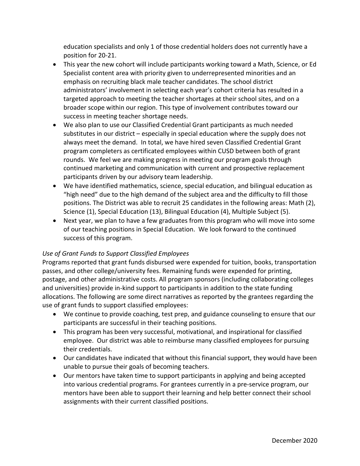education specialists and only 1 of those credential holders does not currently have a position for 20-21.

- This year the new cohort will include participants working toward a Math, Science, or Ed Specialist content area with priority given to underrepresented minorities and an emphasis on recruiting black male teacher candidates. The school district administrators' involvement in selecting each year's cohort criteria has resulted in a targeted approach to meeting the teacher shortages at their school sites, and on a broader scope within our region. This type of involvement contributes toward our success in meeting teacher shortage needs.
- We also plan to use our Classified Credential Grant participants as much needed substitutes in our district – especially in special education where the supply does not always meet the demand. In total, we have hired seven Classified Credential Grant program completers as certificated employees within CUSD between both of grant rounds. We feel we are making progress in meeting our program goals through continued marketing and communication with current and prospective replacement participants driven by our advisory team leadership.
- We have identified mathematics, science, special education, and bilingual education as "high need" due to the high demand of the subject area and the difficulty to fill those positions. The District was able to recruit 25 candidates in the following areas: Math (2), Science (1), Special Education (13), Bilingual Education (4), Multiple Subject (5).
- Next year, we plan to have a few graduates from this program who will move into some of our teaching positions in Special Education. We look forward to the continued success of this program.

#### *Use of Grant Funds to Support Classified Employees*

Programs reported that grant funds disbursed were expended for tuition, books, transportation passes, and other college/university fees. Remaining funds were expended for printing, postage, and other administrative costs. All program sponsors (including collaborating colleges and universities) provide in-kind support to participants in addition to the state funding allocations. The following are some direct narratives as reported by the grantees regarding the use of grant funds to support classified employees:

- We continue to provide coaching, test prep, and guidance counseling to ensure that our participants are successful in their teaching positions.
- This program has been very successful, motivational, and inspirational for classified employee. Our district was able to reimburse many classified employees for pursuing their credentials.
- Our candidates have indicated that without this financial support, they would have been unable to pursue their goals of becoming teachers.
- Our mentors have taken time to support participants in applying and being accepted into various credential programs. For grantees currently in a pre-service program, our mentors have been able to support their learning and help better connect their school assignments with their current classified positions.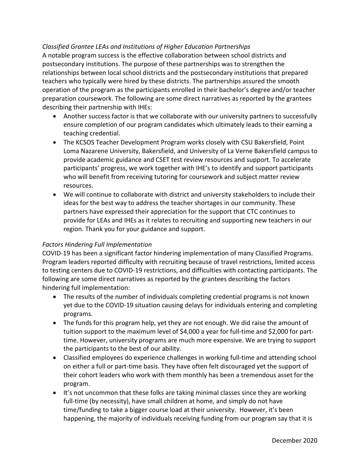#### *Classified Grantee LEAs and Institutions of Higher Education Partnerships*

A notable program success is the effective collaboration between school districts and postsecondary institutions. The purpose of these partnerships was to strengthen the relationships between local school districts and the postsecondary institutions that prepared teachers who typically were hired by these districts. The partnerships assured the smooth operation of the program as the participants enrolled in their bachelor's degree and/or teacher preparation coursework. The following are some direct narratives as reported by the grantees describing their partnership with IHEs:

- Another success factor is that we collaborate with our university partners to successfully ensure completion of our program candidates which ultimately leads to their earning a teaching credential.
- The KCSOS Teacher Development Program works closely with CSU Bakersfield, Point Loma Nazarene University, Bakersfield, and University of La Verne Bakersfield campus to provide academic guidance and CSET test review resources and support. To accelerate participants' progress, we work together with IHE's to identify and support participants who will benefit from receiving tutoring for coursework and subject matter review resources.
- We will continue to collaborate with district and university stakeholders to include their ideas for the best way to address the teacher shortages in our community. These partners have expressed their appreciation for the support that CTC continues to provide for LEAs and IHEs as it relates to recruiting and supporting new teachers in our region. Thank you for your guidance and support.

#### *Factors Hindering Full Implementation*

COVID-19 has been a significant factor hindering implementation of many Classified Programs. Program leaders reported difficulty with recruiting because of travel restrictions, limited access to testing centers due to COVID-19 restrictions, and difficulties with contacting participants. The following are some direct narratives as reported by the grantees describing the factors hindering full implementation:

- The results of the number of individuals completing credential programs is not known yet due to the COVID-19 situation causing delays for individuals entering and completing programs.
- The funds for this program help, yet they are not enough. We did raise the amount of tuition support to the maximum level of \$4,000 a year for full-time and \$2,000 for parttime. However, university programs are much more expensive. We are trying to support the participants to the best of our ability.
- Classified employees do experience challenges in working full-time and attending school on either a full or part-time basis. They have often felt discouraged yet the support of their cohort leaders who work with them monthly has been a tremendous asset for the program.
- It's not uncommon that these folks are taking minimal classes since they are working full-time (by necessity), have small children at home, and simply do not have time/funding to take a bigger course load at their university. However, it's been happening, the majority of individuals receiving funding from our program say that it is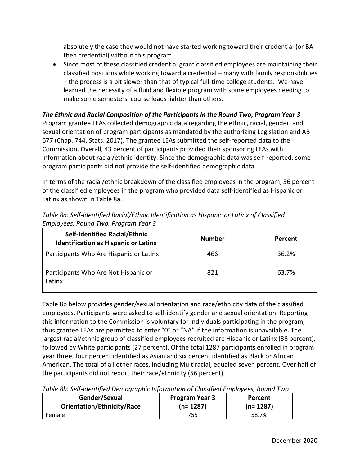absolutely the case they would not have started working toward their credential (or BA then credential) without this program.

• Since most of these classified credential grant classified employees are maintaining their classified positions while working toward a credential – many with family responsibilities – the process is a bit slower than that of typical full-time college students. We have learned the necessity of a fluid and flexible program with some employees needing to make some semesters' course loads lighter than others.

#### *The Ethnic and Racial Composition of the Participants in the Round Two, Program Year 3*

Program grantee LEAs collected demographic data regarding the ethnic, racial, gender, and sexual orientation of program participants as mandated by the authorizing Legislation and AB 677 (Chap. 744, Stats. 2017). The grantee LEAs submitted the self-reported data to the Commission. Overall, 43 percent of participants provided their sponsoring LEAs with information about racial/ethnic identity. Since the demographic data was self-reported, some program participants did not provide the self-identified demographic data

In terms of the racial/ethnic breakdown of the classified employees in the program, 36 percent of the classified employees in the program who provided data self-identified as Hispanic or Latinx as shown in Table 8a.

| Linpioyees, Nound Two, Flogiani Teal 3                                              |               |         |  |  |
|-------------------------------------------------------------------------------------|---------------|---------|--|--|
| <b>Self-Identified Racial/Ethnic</b><br><b>Identification as Hispanic or Latinx</b> | <b>Number</b> | Percent |  |  |
| Participants Who Are Hispanic or Latinx                                             | 466           | 36.2%   |  |  |
| Participants Who Are Not Hispanic or<br>Latinx                                      | 821           | 63.7%   |  |  |

*Table 8a: Self-Identified Racial/Ethnic Identification as Hispanic or Latinx of Classified Employees, Round Two, Program Year 3*

Table 8b below provides gender/sexual orientation and race/ethnicity data of the classified employees. Participants were asked to self-identify gender and sexual orientation. Reporting this information to the Commission is voluntary for individuals participating in the program, thus grantee LEAs are permitted to enter "0" or "NA" if the information is unavailable. The largest racial/ethnic group of classified employees recruited are Hispanic or Latinx (36 percent), followed by White participants (27 percent). Of the total 1287 participants enrolled in program year three, four percent identified as Asian and six percent identified as Black or African American. The total of all other races, including Multiracial, equaled seven percent. Over half of the participants did not report their race/ethnicity (56 percent).

*Table 8b: Self-Identified Demographic Information of Classified Employees, Round Two*

| Gender/Sexual              | <b>Program Year 3</b> | Percent    |  |
|----------------------------|-----------------------|------------|--|
| Orientation/Ethnicity/Race | $(n=1287)$            | $(n=1287)$ |  |
| Female                     | 755                   | 58.7%      |  |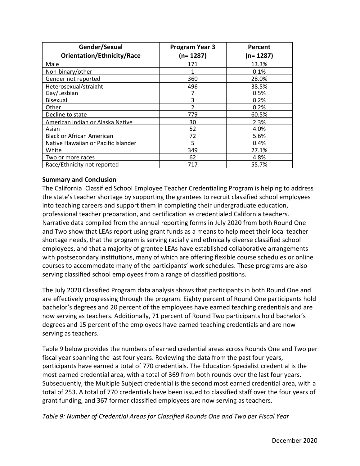| Gender/Sexual                       | <b>Program Year 3</b> | Percent<br>(n= 1287) |  |  |
|-------------------------------------|-----------------------|----------------------|--|--|
| <b>Orientation/Ethnicity/Race</b>   | (n= 1287)             |                      |  |  |
| Male                                | 171                   | 13.3%                |  |  |
| Non-binary/other                    |                       | 0.1%                 |  |  |
| Gender not reported                 | 360                   | 28.0%                |  |  |
| Heterosexual/straight               | 496                   | 38.5%                |  |  |
| Gay/Lesbian                         |                       | 0.5%                 |  |  |
| <b>Bisexual</b>                     | 3                     | 0.2%                 |  |  |
| Other                               | າ                     | 0.2%                 |  |  |
| Decline to state                    | 779                   | 60.5%                |  |  |
| American Indian or Alaska Native    | 30                    | 2.3%                 |  |  |
| Asian                               | 52                    | 4.0%                 |  |  |
| <b>Black or African American</b>    | 72                    | 5.6%                 |  |  |
| Native Hawaiian or Pacific Islander | 5                     | 0.4%                 |  |  |
| White                               | 349                   | 27.1%                |  |  |
| Two or more races                   | 62                    | 4.8%                 |  |  |
| Race/Ethnicity not reported         | 717                   | 55.7%                |  |  |

#### **Summary and Conclusion**

The California Classified School Employee Teacher Credentialing Program is helping to address the state's teacher shortage by supporting the grantees to recruit classified school employees into teaching careers and support them in completing their undergraduate education, professional teacher preparation, and certification as credentialed California teachers. Narrative data compiled from the annual reporting forms in July 2020 from both Round One and Two show that LEAs report using grant funds as a means to help meet their local teacher shortage needs, that the program is serving racially and ethnically diverse classified school employees, and that a majority of grantee LEAs have established collaborative arrangements with postsecondary institutions, many of which are offering flexible course schedules or online courses to accommodate many of the participants' work schedules. These programs are also serving classified school employees from a range of classified positions.

The July 2020 Classified Program data analysis shows that participants in both Round One and are effectively progressing through the program. Eighty percent of Round One participants hold bachelor's degrees and 20 percent of the employees have earned teaching credentials and are now serving as teachers. Additionally, 71 percent of Round Two participants hold bachelor's degrees and 15 percent of the employees have earned teaching credentials and are now serving as teachers.

Table 9 below provides the numbers of earned credential areas across Rounds One and Two per fiscal year spanning the last four years. Reviewing the data from the past four years, participants have earned a total of 770 credentials. The Education Specialist credential is the most earned credential area, with a total of 369 from both rounds over the last four years. Subsequently, the Multiple Subject credential is the second most earned credential area, with a total of 253. A total of 770 credentials have been issued to classified staff over the four years of grant funding, and 367 former classified employees are now serving as teachers.

*Table 9: Number of Credential Areas for Classified Rounds One and Two per Fiscal Year*